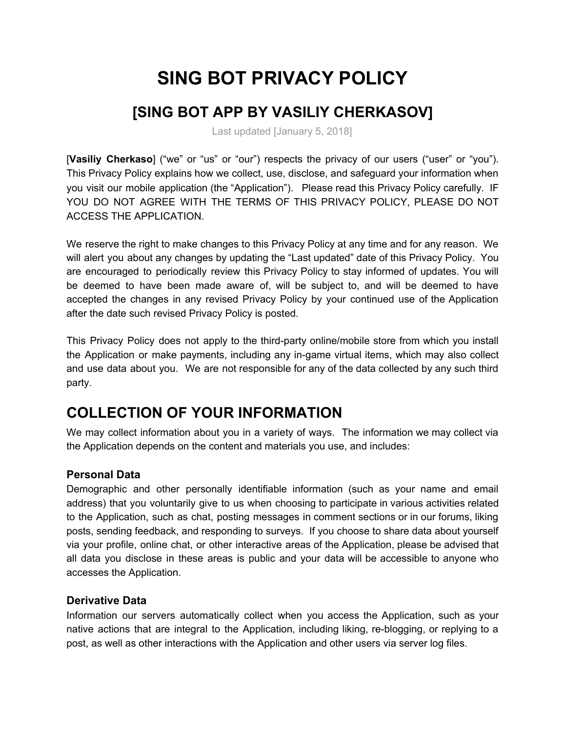# **SING BOT PRIVACY POLICY**

# **[SING BOT APP BY VASILIY CHERKASOV]**

Last updated [January 5, 2018]

[**Vasiliy Cherkaso**] ("we" or "us" or "our") respects the privacy of our users ("user" or "you"). This Privacy Policy explains how we collect, use, disclose, and safeguard your information when you visit our mobile application (the "Application"). Please read this Privacy Policy carefully. IF YOU DO NOT AGREE WITH THE TERMS OF THIS PRIVACY POLICY, PLEASE DO NOT ACCESS THE APPLICATION.

We reserve the right to make changes to this Privacy Policy at any time and for any reason. We will alert you about any changes by updating the "Last updated" date of this Privacy Policy. You are encouraged to periodically review this Privacy Policy to stay informed of updates. You will be deemed to have been made aware of, will be subject to, and will be deemed to have accepted the changes in any revised Privacy Policy by your continued use of the Application after the date such revised Privacy Policy is posted.

This Privacy Policy does not apply to the third-party online/mobile store from which you install the Application or make payments, including any in-game virtual items, which may also collect and use data about you. We are not responsible for any of the data collected by any such third party.

### **COLLECTION OF YOUR INFORMATION**

We may collect information about you in a variety of ways. The information we may collect via the Application depends on the content and materials you use, and includes:

#### **Personal Data**

Demographic and other personally identifiable information (such as your name and email address) that you voluntarily give to us when choosing to participate in various activities related to the Application, such as chat, posting messages in comment sections or in our forums, liking posts, sending feedback, and responding to surveys. If you choose to share data about yourself via your profile, online chat, or other interactive areas of the Application, please be advised that all data you disclose in these areas is public and your data will be accessible to anyone who accesses the Application.

#### **Derivative Data**

Information our servers automatically collect when you access the Application, such as your native actions that are integral to the Application, including liking, re-blogging, or replying to a post, as well as other interactions with the Application and other users via server log files.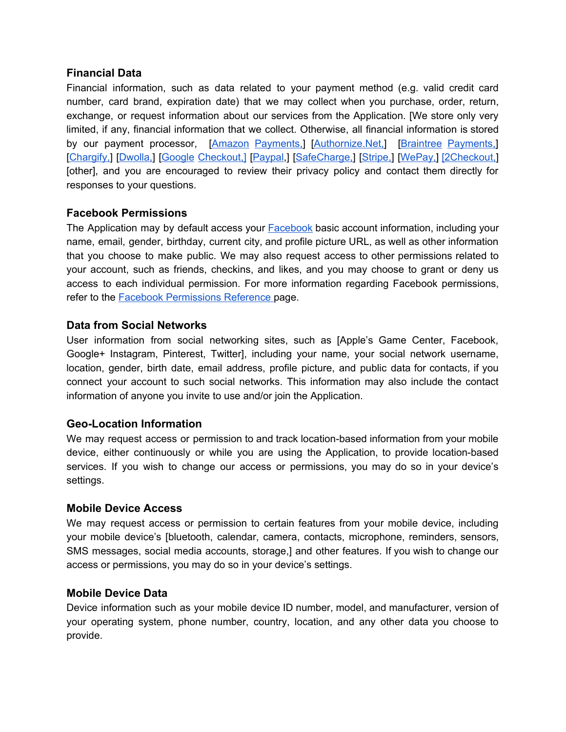#### **Financial Data**

Financial information, such as data related to your payment method (e.g. valid credit card number, card brand, expiration date) that we may collect when you purchase, order, return, exchange, or request information about our services from the Application. [We store only very limited, if any, financial information that we collect. Otherwise, all financial information is stored by our payment processor, [Amazon [Payments,\]](https://pay.amazon.com/us/help/201491260) [[Authornize.Net,\]](https://www.authorize.net/company/privacy/) [Braintree [Payments,](https://www.braintreepayments.com/legal)] [\[Chargify,](https://www.chargify.com/privacy-policy/)] [[Dwolla,\]](https://www.dwolla.com/legal/privacy/) [Google [Checkout,\]](https://payments.google.com/payments/apis-secure/get_legal_document?ldo=0&ldt=privacynotice) [[Paypal,](https://www.paypal.com/us/webapps/mpp/ua/privacy-full)] [\[SafeCharge,\]](https://www.safecharge.com/privacy-cookies-policy/) [[Stripe,\]](https://stripe.com/us/privacy/) [[WePay,\]](https://go.wepay.com/privacy-policy-us) [\[2Checkout,\]](https://www.2checkout.com/policies/privacy-policy/) [other], and you are encouraged to review their privacy policy and contact them directly for responses to your questions.

#### **Facebook Permissions**

The Application may by default access your **[Facebook](https://www.facebook.com/about/privacy/)** basic account information, including your name, email, gender, birthday, current city, and profile picture URL, as well as other information that you choose to make public. We may also request access to other permissions related to your account, such as friends, checkins, and likes, and you may choose to grant or deny us access to each individual permission. For more information regarding Facebook permissions, refer to the Facebook [Permissions](https://developers.facebook.com/docs/facebook-login/permissions) Reference page.

#### **Data from Social Networks**

User information from social networking sites, such as [Apple's Game Center, Facebook, Google+ Instagram, Pinterest, Twitter], including your name, your social network username, location, gender, birth date, email address, profile picture, and public data for contacts, if you connect your account to such social networks. This information may also include the contact information of anyone you invite to use and/or join the Application.

#### **Geo-Location Information**

We may request access or permission to and track location-based information from your mobile device, either continuously or while you are using the Application, to provide location-based services. If you wish to change our access or permissions, you may do so in your device's settings.

#### **Mobile Device Access**

We may request access or permission to certain features from your mobile device, including your mobile device's [bluetooth, calendar, camera, contacts, microphone, reminders, sensors, SMS messages, social media accounts, storage,] and other features. If you wish to change our access or permissions, you may do so in your device's settings.

#### **Mobile Device Data**

Device information such as your mobile device ID number, model, and manufacturer, version of your operating system, phone number, country, location, and any other data you choose to provide.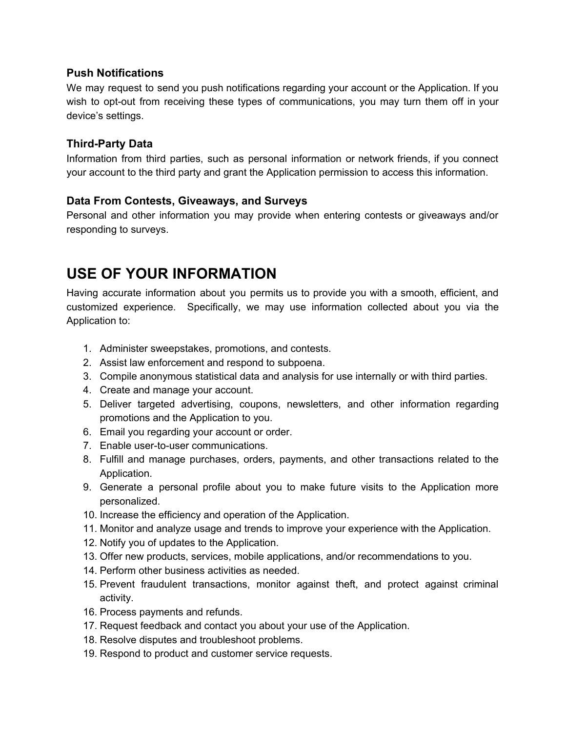#### **Push Notifications**

We may request to send you push notifications regarding your account or the Application. If you wish to opt-out from receiving these types of communications, you may turn them off in your device's settings.

#### **Third-Party Data**

Information from third parties, such as personal information or network friends, if you connect your account to the third party and grant the Application permission to access this information.

#### **Data From Contests, Giveaways, and Surveys**

Personal and other information you may provide when entering contests or giveaways and/or responding to surveys.

### **USE OF YOUR INFORMATION**

Having accurate information about you permits us to provide you with a smooth, efficient, and customized experience. Specifically, we may use information collected about you via the Application to:

- 1. Administer sweepstakes, promotions, and contests.
- 2. Assist law enforcement and respond to subpoena.
- 3. Compile anonymous statistical data and analysis for use internally or with third parties.
- 4. Create and manage your account.
- 5. Deliver targeted advertising, coupons, newsletters, and other information regarding promotions and the Application to you.
- 6. Email you regarding your account or order.
- 7. Enable user-to-user communications.
- 8. Fulfill and manage purchases, orders, payments, and other transactions related to the Application.
- 9. Generate a personal profile about you to make future visits to the Application more personalized.
- 10. Increase the efficiency and operation of the Application.
- 11. Monitor and analyze usage and trends to improve your experience with the Application.
- 12. Notify you of updates to the Application.
- 13. Offer new products, services, mobile applications, and/or recommendations to you.
- 14. Perform other business activities as needed.
- 15. Prevent fraudulent transactions, monitor against theft, and protect against criminal activity.
- 16. Process payments and refunds.
- 17. Request feedback and contact you about your use of the Application.
- 18. Resolve disputes and troubleshoot problems.
- 19. Respond to product and customer service requests.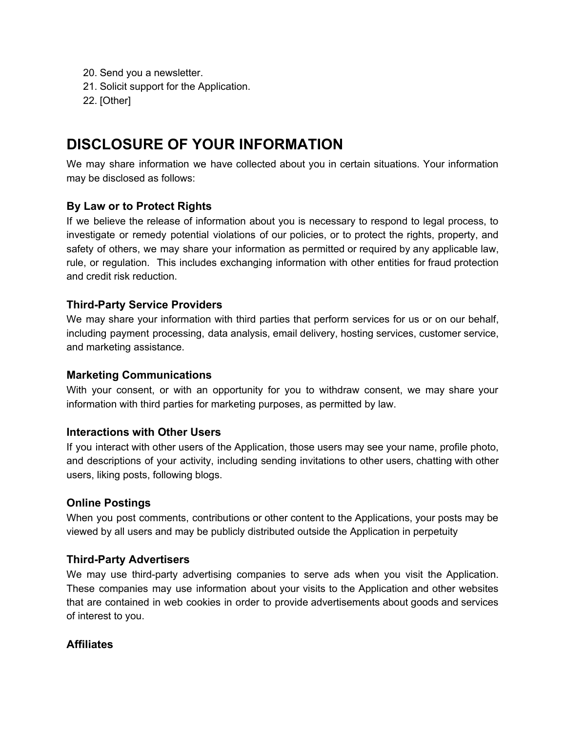- 20. Send you a newsletter.
- 21. Solicit support for the Application.
- 22. [Other]

### **DISCLOSURE OF YOUR INFORMATION**

We may share information we have collected about you in certain situations. Your information may be disclosed as follows:

#### **By Law or to Protect Rights**

If we believe the release of information about you is necessary to respond to legal process, to investigate or remedy potential violations of our policies, or to protect the rights, property, and safety of others, we may share your information as permitted or required by any applicable law, rule, or regulation. This includes exchanging information with other entities for fraud protection and credit risk reduction.

#### **Third-Party Service Providers**

We may share your information with third parties that perform services for us or on our behalf, including payment processing, data analysis, email delivery, hosting services, customer service, and marketing assistance.

#### **Marketing Communications**

With your consent, or with an opportunity for you to withdraw consent, we may share your information with third parties for marketing purposes, as permitted by law.

#### **Interactions with Other Users**

If you interact with other users of the Application, those users may see your name, profile photo, and descriptions of your activity, including sending invitations to other users, chatting with other users, liking posts, following blogs.

#### **Online Postings**

When you post comments, contributions or other content to the Applications, your posts may be viewed by all users and may be publicly distributed outside the Application in perpetuity

#### **Third-Party Advertisers**

We may use third-party advertising companies to serve ads when you visit the Application. These companies may use information about your visits to the Application and other websites that are contained in web cookies in order to provide advertisements about goods and services of interest to you.

#### **Affiliates**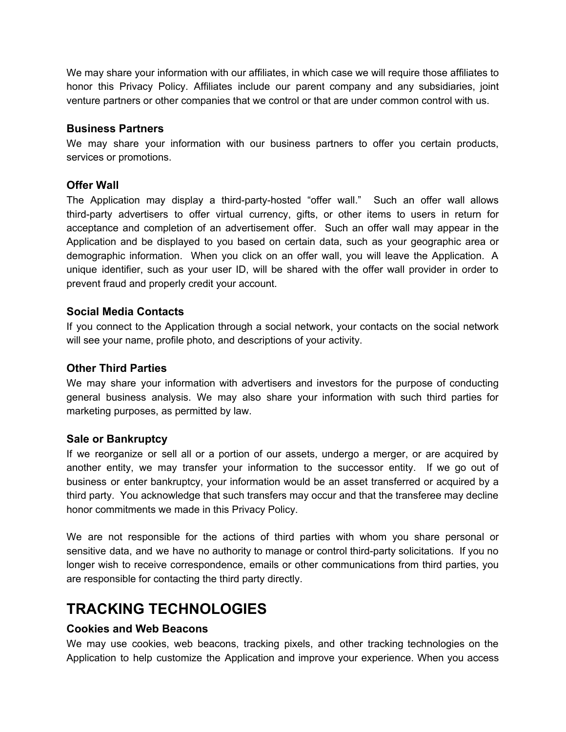We may share your information with our affiliates, in which case we will require those affiliates to honor this Privacy Policy. Affiliates include our parent company and any subsidiaries, joint venture partners or other companies that we control or that are under common control with us.

#### **Business Partners**

We may share your information with our business partners to offer you certain products, services or promotions.

#### **Offer Wall**

The Application may display a third-party-hosted "offer wall." Such an offer wall allows third-party advertisers to offer virtual currency, gifts, or other items to users in return for acceptance and completion of an advertisement offer. Such an offer wall may appear in the Application and be displayed to you based on certain data, such as your geographic area or demographic information. When you click on an offer wall, you will leave the Application. A unique identifier, such as your user ID, will be shared with the offer wall provider in order to prevent fraud and properly credit your account.

#### **Social Media Contacts**

If you connect to the Application through a social network, your contacts on the social network will see your name, profile photo, and descriptions of your activity.

#### **Other Third Parties**

We may share your information with advertisers and investors for the purpose of conducting general business analysis. We may also share your information with such third parties for marketing purposes, as permitted by law.

#### **Sale or Bankruptcy**

If we reorganize or sell all or a portion of our assets, undergo a merger, or are acquired by another entity, we may transfer your information to the successor entity. If we go out of business or enter bankruptcy, your information would be an asset transferred or acquired by a third party. You acknowledge that such transfers may occur and that the transferee may decline honor commitments we made in this Privacy Policy.

We are not responsible for the actions of third parties with whom you share personal or sensitive data, and we have no authority to manage or control third-party solicitations. If you no longer wish to receive correspondence, emails or other communications from third parties, you are responsible for contacting the third party directly.

# **TRACKING TECHNOLOGIES**

#### **Cookies and Web Beacons**

We may use cookies, web beacons, tracking pixels, and other tracking technologies on the Application to help customize the Application and improve your experience. When you access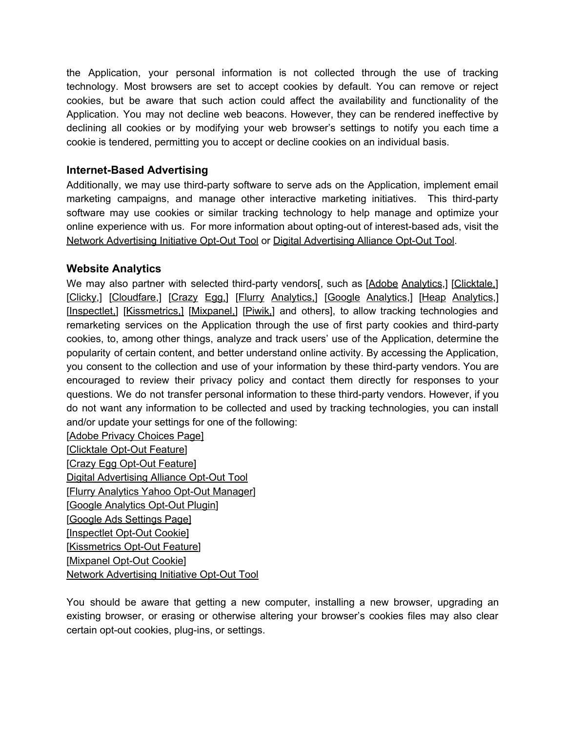the Application, your personal information is not collected through the use of tracking technology. Most browsers are set to accept cookies by default. You can remove or reject cookies, but be aware that such action could affect the availability and functionality of the Application. You may not decline web beacons. However, they can be rendered ineffective by declining all cookies or by modifying your web browser's settings to notify you each time a cookie is tendered, permitting you to accept or decline cookies on an individual basis.

#### **Internet-Based Advertising**

Additionally, we may use third-party software to serve ads on the Application, implement email marketing campaigns, and manage other interactive marketing initiatives. This third-party software may use cookies or similar tracking technology to help manage and optimize your online experience with us. For more information about opting-out of interest-based ads, visit the Network [Advertising](http://www.networkadvertising.org/choices/) Initiative Opt-Out Tool or Digital [Advertising](http://www.aboutads.info/choices/) Alliance Opt-Out Tool.

#### **Website Analytics**

We may also partner with selected third-party vendors[, such as [Adobe [Analytics](http://www.adobe.com/privacy/marketing-cloud.html),] [\[Clicktale,](https://www.clicktale.com/company/privacy-policy/)] [\[Clicky](https://clicky.com/terms),] [\[Cloudfare,](https://www.cloudflare.com/security-policy/)] [\[Crazy](https://www.crazyegg.com/privacy/) Egg,] [Flurry [Analytics,](https://policies.yahoo.com/us/en/yahoo/privacy/products/developer/index.htm)] [Google [Analytics](https://support.google.com/analytics/answer/6004245?hl=en),] [Heap [Analytics](https://heapanalytics.com/privacy),] [\[Inspectlet,](https://www.inspectlet.com/legal#privacy)] [\[Kissmetrics,\]](https://signin.kissmetrics.com/privacy) [\[Mixpanel,](https://mixpanel.com/privacy/)] [[Piwik,](https://piwik.org/privacy/)] and others], to allow tracking technologies and remarketing services on the Application through the use of first party cookies and third-party cookies, to, among other things, analyze and track users' use of the Application, determine the popularity of certain content, and better understand online activity. By accessing the Application, you consent to the collection and use of your information by these third-party vendors. You are encouraged to review their privacy policy and contact them directly for responses to your questions. We do not transfer personal information to these third-party vendors. However, if you do not want any information to be collected and used by tracking technologies, you can install and/or update your settings for one of the following:

[Adobe Privacy [Choices](http://www.adobe.com/privacy/opt-out.html) Page] [\[Clicktale](http://www.clicktale.net/disable.aspx) Opt-Out Feature] [Crazy Egg [Opt-Out](https://www.crazyegg.com/opt-out/) Feature] Digital [Advertising](http://www.aboutads.info/choices/) Alliance Opt-Out Tool [Flurry [Analytics](https://aim.yahoo.com/aim/us/en/optout/) Yahoo Opt-Out Manager] [Google [Analytics](https://tools.google.com/dlpage/gaoptout/) Opt-Out Plugin] [Google Ads [Settings](https://www.google.com/settings/u/0/ads/authenticated?hl=en) Page] [\[Inspectlet](https://www.inspectlet.com/optout) Opt-Out Cookie] [\[Kissmetrics](https://www.kissmetrics.com/user-privacy/) Opt-Out Feature] [\[Mixpanel](https://mixpanel.com/optout/) Opt-Out Cookie] Network [Advertising](http://www.networkadvertising.org/choices/) Initiative Opt-Out Tool

You should be aware that getting a new computer, installing a new browser, upgrading an existing browser, or erasing or otherwise altering your browser's cookies files may also clear certain opt-out cookies, plug-ins, or settings.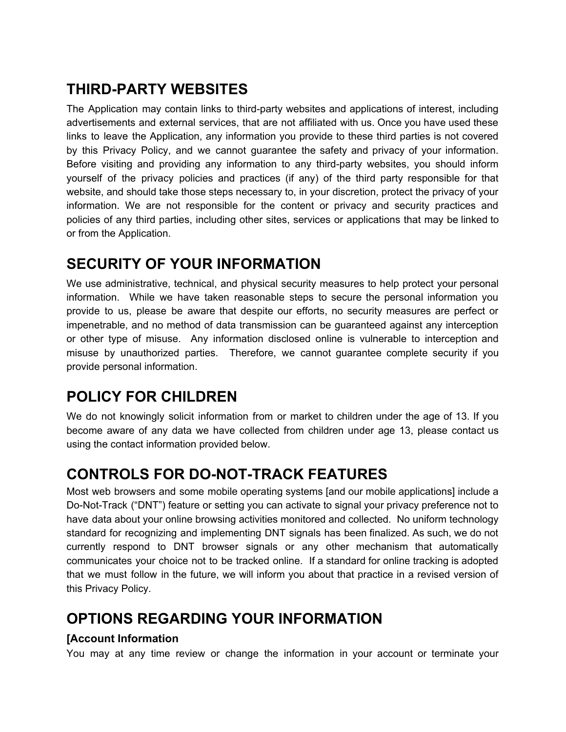# **THIRD-PARTY WEBSITES**

The Application may contain links to third-party websites and applications of interest, including advertisements and external services, that are not affiliated with us. Once you have used these links to leave the Application, any information you provide to these third parties is not covered by this Privacy Policy, and we cannot guarantee the safety and privacy of your information. Before visiting and providing any information to any third-party websites, you should inform yourself of the privacy policies and practices (if any) of the third party responsible for that website, and should take those steps necessary to, in your discretion, protect the privacy of your information. We are not responsible for the content or privacy and security practices and policies of any third parties, including other sites, services or applications that may be linked to or from the Application.

### **SECURITY OF YOUR INFORMATION**

We use administrative, technical, and physical security measures to help protect your personal information. While we have taken reasonable steps to secure the personal information you provide to us, please be aware that despite our efforts, no security measures are perfect or impenetrable, and no method of data transmission can be guaranteed against any interception or other type of misuse. Any information disclosed online is vulnerable to interception and misuse by unauthorized parties. Therefore, we cannot guarantee complete security if you provide personal information.

# **POLICY FOR CHILDREN**

We do not knowingly solicit information from or market to children under the age of 13. If you become aware of any data we have collected from children under age 13, please contact us using the contact information provided below.

# **CONTROLS FOR DO-NOT-TRACK FEATURES**

Most web browsers and some mobile operating systems [and our mobile applications] include a Do-Not-Track ("DNT") feature or setting you can activate to signal your privacy preference not to have data about your online browsing activities monitored and collected. No uniform technology standard for recognizing and implementing DNT signals has been finalized. As such, we do not currently respond to DNT browser signals or any other mechanism that automatically communicates your choice not to be tracked online. If a standard for online tracking is adopted that we must follow in the future, we will inform you about that practice in a revised version of this Privacy Policy.

# **OPTIONS REGARDING YOUR INFORMATION**

#### **[Account Information**

You may at any time review or change the information in your account or terminate your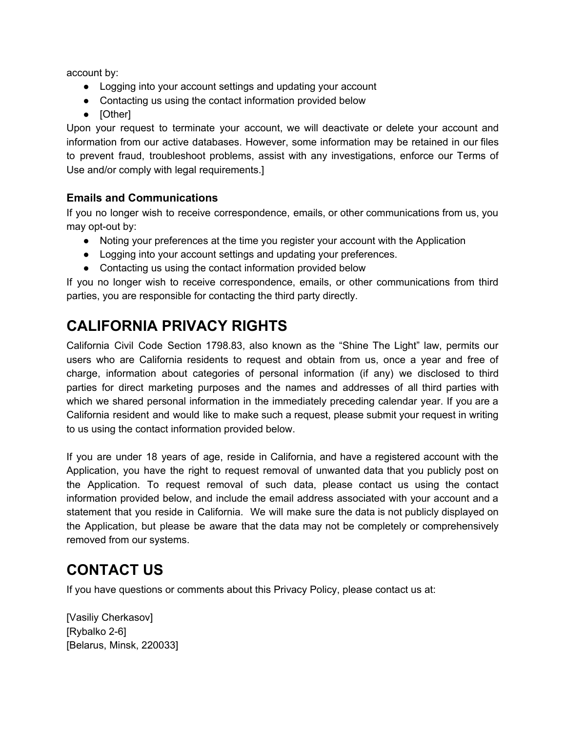account by:

- Logging into your account settings and updating your account
- Contacting us using the contact information provided below
- [Other]

Upon your request to terminate your account, we will deactivate or delete your account and information from our active databases. However, some information may be retained in our files to prevent fraud, troubleshoot problems, assist with any investigations, enforce our Terms of Use and/or comply with legal requirements.]

#### **Emails and Communications**

If you no longer wish to receive correspondence, emails, or other communications from us, you may opt-out by:

- Noting your preferences at the time you register your account with the Application
- Logging into your account settings and updating your preferences.
- Contacting us using the contact information provided below

If you no longer wish to receive correspondence, emails, or other communications from third parties, you are responsible for contacting the third party directly.

# **CALIFORNIA PRIVACY RIGHTS**

California Civil Code Section 1798.83, also known as the "Shine The Light" law, permits our users who are California residents to request and obtain from us, once a year and free of charge, information about categories of personal information (if any) we disclosed to third parties for direct marketing purposes and the names and addresses of all third parties with which we shared personal information in the immediately preceding calendar year. If you are a California resident and would like to make such a request, please submit your request in writing to us using the contact information provided below.

If you are under 18 years of age, reside in California, and have a registered account with the Application, you have the right to request removal of unwanted data that you publicly post on the Application. To request removal of such data, please contact us using the contact information provided below, and include the email address associated with your account and a statement that you reside in California. We will make sure the data is not publicly displayed on the Application, but please be aware that the data may not be completely or comprehensively removed from our systems.

### **CONTACT US**

If you have questions or comments about this Privacy Policy, please contact us at:

[Vasiliy Cherkasov] [Rybalko 2-6] [Belarus, Minsk, 220033]